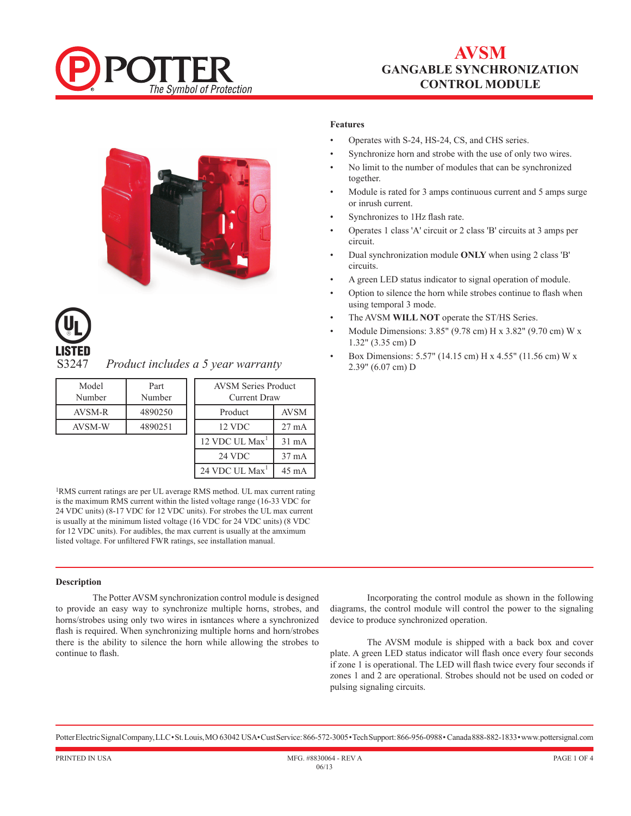

# **AVSM gANGABLE sYNCHRONIZATION cONTROL MODULE**





*Product includes a 5 year warranty* 

| Model<br>Number | Part<br>Number | <b>AVSM Series Product</b><br>Current Draw |                 |
|-----------------|----------------|--------------------------------------------|-----------------|
| AVSM-R          | 4890250        | Product                                    | AVSM            |
| <b>AVSM-W</b>   | 4890251        | 12 VDC                                     | $27 \text{ mA}$ |
|                 |                | 12 VDC UL Max <sup>1</sup>                 | $31 \text{ mA}$ |
|                 |                | 24 VDC                                     |                 |

1RMS current ratings are per UL average RMS method. UL max current rating is the maximum RMS current within the listed voltage range (16-33 VDC for 24 VDC units) (8-17 VDC for 12 VDC units). For strobes the UL max current is usually at the minimum listed voltage (16 VDC for 24 VDC units) (8 VDC for 12 VDC units). For audibles, the max current is usually at the amximum listed voltage. For unfiltered FWR ratings, see installation manual.

24 VDC UL  $Max^1$  45 mA

### **Description**

The Potter AVSM synchronization control module is designed to provide an easy way to synchronize multiple horns, strobes, and horns/strobes using only two wires in isntances where a synchronized flash is required. When synchronizing multiple horns and horn/strobes there is the ability to silence the horn while allowing the strobes to continue to flash.

Incorporating the control module as shown in the following diagrams, the control module will control the power to the signaling device to produce synchronized operation.

The AVSM module is shipped with a back box and cover plate. A green LED status indicator will flash once every four seconds if zone 1 is operational. The LED will flash twice every four seconds if zones 1 and 2 are operational. Strobes should not be used on coded or pulsing signaling circuits.

Potter Electric Signal Company, LLC • St. Louis, MO 63042 USA• Cust Service: 866-572-3005 • Tech Support: 866-956-0988• Canada 888-882-1833• www.pottersignal.com

## **Features**

- Operates with S-24, HS-24, CS, and CHS series.
- Synchronize horn and strobe with the use of only two wires.
- No limit to the number of modules that can be synchronized together.
- Module is rated for 3 amps continuous current and 5 amps surge or inrush current.
- Synchronizes to 1Hz flash rate.
- Operates 1 class 'A' circuit or 2 class 'B' circuits at 3 amps per circuit.
- Dual synchronization module **ONLY** when using 2 class 'B' circuits.
- A green LED status indicator to signal operation of module.
- Option to silence the horn while strobes continue to flash when using temporal 3 mode.
- The AVSM **WILL NOT** operate the ST/HS Series.
- Module Dimensions: 3.85" (9.78 cm) H x 3.82" (9.70 cm) W x 1.32" (3.35 cm) D
- Box Dimensions: 5.57" (14.15 cm) H x 4.55" (11.56 cm) W x 2.39" (6.07 cm) D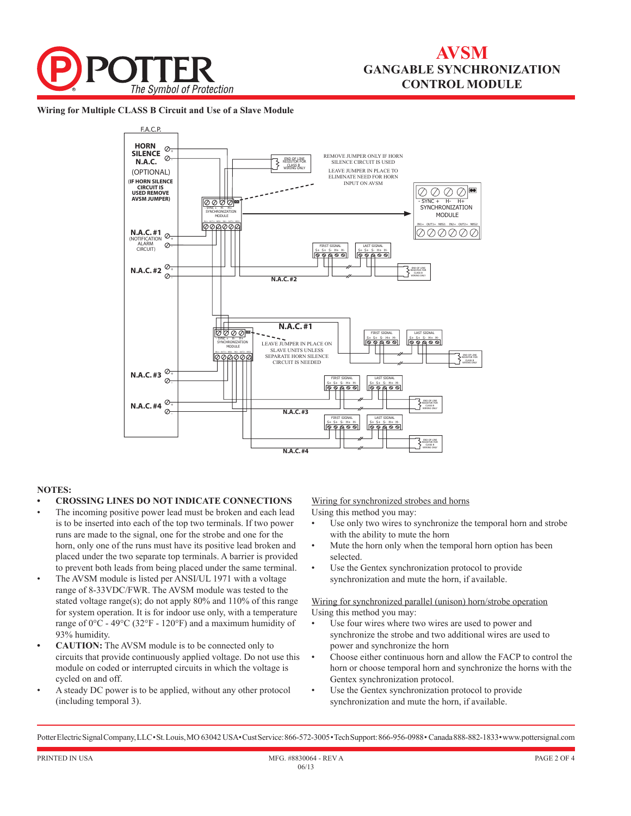

**Wiring for Multiple CLASS B Circuit and Use of a Slave Module**



### **NOTES:**

- **• CROSSING LINES DO NOT INDICATE CONNECTIONS**
- The incoming positive power lead must be broken and each lead is to be inserted into each of the top two terminals. If two power runs are made to the signal, one for the strobe and one for the horn, only one of the runs must have its positive lead broken and placed under the two separate top terminals. A barrier is provided to prevent both leads from being placed under the same terminal.
- The AVSM module is listed per ANSI/UL 1971 with a voltage range of 8-33VDC/FWR. The AVSM module was tested to the stated voltage range(s); do not apply 80% and 110% of this range for system operation. It is for indoor use only, with a temperature range of 0°C - 49°C (32°F - 120°F) and a maximum humidity of 93% humidity.
- **• CAUTION:** The AVSM module is to be connected only to circuits that provide continuously applied voltage. Do not use this module on coded or interrupted circuits in which the voltage is cycled on and off.
- A steady DC power is to be applied, without any other protocol (including temporal 3).

Wiring for synchronized strobes and horns

- Using this method you may:
- Use only two wires to synchronize the temporal horn and strobe with the ability to mute the horn
- Mute the horn only when the temporal horn option has been selected.
- Use the Gentex synchronization protocol to provide synchronization and mute the horn, if available.

Wiring for synchronized parallel (unison) horn/strobe operation Using this method you may:

- Use four wires where two wires are used to power and synchronize the strobe and two additional wires are used to power and synchronize the horn
- Choose either continuous horn and allow the FACP to control the horn or choose temporal horn and synchronize the horns with the Gentex synchronization protocol.
- Use the Gentex synchronization protocol to provide synchronization and mute the horn, if available.

Potter Electric Signal Company, LLC • St. Louis, MO 63042 USA• Cust Service: 866-572-3005 • Tech Support: 866-956-0988• Canada 888-882-1833• www.pottersignal.com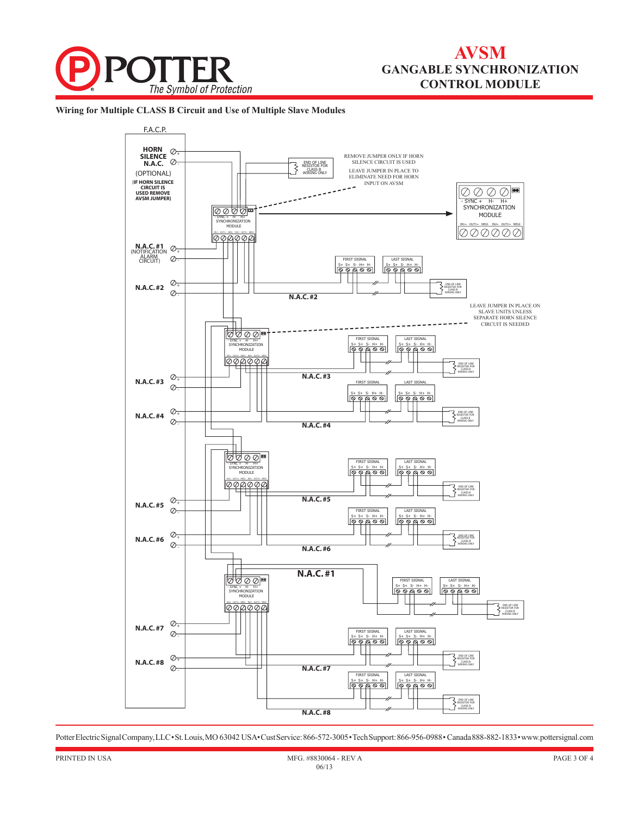

## **AVSM gANGABLE sYNCHRONIZATION cONTROL MODULE**

**Wiring for Multiple CLASS B Circuit and Use of Multiple Slave Modules**



Potter Electric Signal Company, LLC • St. Louis, MO 63042 USA• Cust Service: 866-572-3005 • Tech Support: 866-956-0988• Canada 888-882-1833• www.pottersignal.com